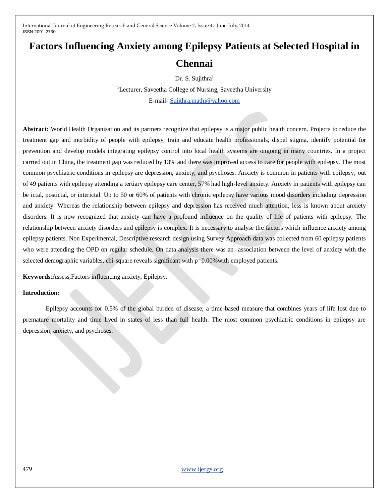# **Factors Influencing Anxiety among Epilepsy Patients at Selected Hospital in Chennai**

Dr. S. Sujithra<sup>1</sup>

<sup>1</sup>Lecturer, Saveetha College of Nursing, Saveetha University E-mail- [Sujithra.mathi@yahoo.com](mailto:Sujithra.mathi@yahoo.com)

**Abstract:** World Health Organisation and its partners recognize that epilepsy is a major public health concern. Projects to reduce the treatment gap and morbidity of people with epilepsy, train and educate health professionals, dispel stigma, identify potential for prevention and develop models integrating epilepsy control into local health systems are ongoing in many countries. In a project carried out in China, the treatment gap was reduced by 13% and there was improved access to care for people with epilepsy. The most common psychiatric conditions in epilepsy are depression, anxiety, and psychoses. Anxiety is common in patients with epilepsy; out of 49 patients with epilepsy attending a tertiary epilepsy care center, 57% had high-level anxiety. Anxiety in patients with epilepsy can be ictal, postictal, or interictal. Up to 50 or 60% of patients with chronic epilepsy have various mood disorders including depression and anxiety. Whereas the relationship between epilepsy and depression has received much attention, less is known about anxiety disorders. It is now recognized that anxiety can have a profound influence on the quality of life of patients with epilepsy. The relationship between anxiety disorders and epilepsy is complex. It is necessary to analyse the factors which influence anxiety among epilepsy patients. Non Experimental, Descriptive research design using Survey Approach data was collected from 60 epilepsy patients who were attending the OPD on regular schedule. On data analysis there was an association between the level of anxiety with the selected demographic variables, chi-square reveals significant with  $p=0.00\%$  with employed patients.

**Keywords**:Assess,Factors influencing anxiety, Epilepsy.

#### **Introduction:**

Epilepsy accounts for 0.5% of the global burden of disease, a time-based measure that combines years of life lost due to premature mortality and time lived in states of less than full health. The most common psychiatric conditions in epilepsy are depression, anxiety, and psychoses.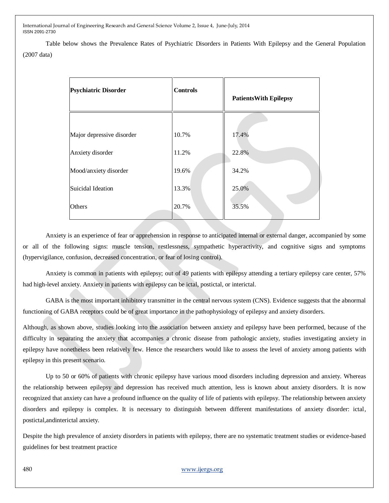Table below shows the Prevalence Rates of Psychiatric Disorders in Patients With Epilepsy and the General Population (2007 data)

| <b>Psychiatric Disorder</b> | <b>Controls</b> | <b>PatientsWith Epilepsy</b> |  |
|-----------------------------|-----------------|------------------------------|--|
|                             |                 |                              |  |
| Major depressive disorder   | 10.7%           | 17.4%                        |  |
| Anxiety disorder            | 11.2%           | 22.8%                        |  |
| Mood/anxiety disorder       | 19.6%           | 34.2%                        |  |
| Suicidal Ideation           | 13.3%           | 25.0%                        |  |
| Others                      | 20.7%           | 35.5%                        |  |

Anxiety is an experience of fear or apprehension in response to anticipated internal or external danger, accompanied by some or all of the following signs: muscle tension, restlessness, sympathetic hyperactivity, and cognitive signs and symptoms (hypervigilance, confusion, decreased concentration, or fear of losing control).

Anxiety is common in patients with epilepsy; out of 49 patients with epilepsy attending a tertiary epilepsy care center, 57% had high-level anxiety. Anxiety in patients with epilepsy can be ictal, postictal, or interictal.

GABA is the most important inhibitory transmitter in the central nervous system (CNS). Evidence suggests that the abnormal functioning of GABA receptors could be of great importance in the pathophysiology of epilepsy and anxiety disorders.

Although, as shown above, studies looking into the association between anxiety and epilepsy have been performed, because of the difficulty in separating the anxiety that accompanies a chronic disease from pathologic anxiety, studies investigating anxiety in epilepsy have nonetheless been relatively few. Hence the researchers would like to assess the level of anxiety among patients with epilepsy in this present scenario.

Up to 50 or 60% of patients with chronic epilepsy have various mood disorders including depression and anxiety. Whereas the relationship between epilepsy and depression has received much attention, less is known about anxiety disorders. It is now recognized that anxiety can have a profound influence on the quality of life of patients with epilepsy. The relationship between anxiety disorders and epilepsy is complex. It is necessary to distinguish between different manifestations of anxiety disorder: ictal, postictal,andinterictal anxiety.

Despite the high prevalence of anxiety disorders in patients with epilepsy, there are no systematic treatment studies or evidence-based guidelines for best treatment practice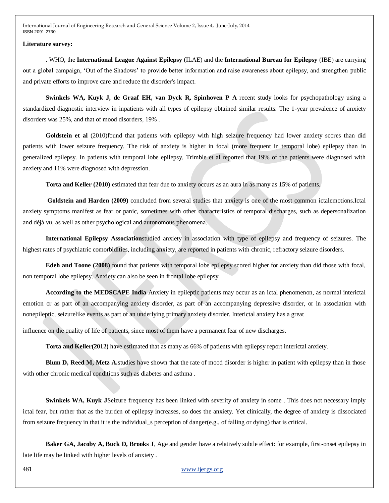#### **Literature survey:**

. WHO, the **International League Against Epilepsy** (ILAE) and the **International Bureau for Epilepsy** (IBE) are carrying out a global campaign, 'Out of the Shadows' to provide better information and raise awareness about epilepsy, and strengthen public and private efforts to improve care and reduce the disorder's impact.

**Swinkels WA, Kuyk J, de Graaf EH, van Dyck R, Spinhoven P A** recent study looks for psychopathology using a standardized diagnostic interview in inpatients with all types of epilepsy obtained similar results: The 1-year prevalence of anxiety disorders was 25%, and that of mood disorders, 19% .

**Goldstein et al** (2010)found that patients with epilepsy with high seizure frequency had lower anxiety scores than did patients with lower seizure frequency. The risk of anxiety is higher in focal (more frequent in temporal lobe) epilepsy than in generalized epilepsy. In patients with temporal lobe epilepsy, Trimble et al reported that 19% of the patients were diagnosed with anxiety and 11% were diagnosed with depression.

**Torta and Keller (2010)** estimated that fear due to anxiety occurs as an aura in as many as 15% of patients.

**Goldstein and Harden (2009)** concluded from several studies that anxiety is one of the most common ictalemotions.Ictal anxiety symptoms manifest as fear or panic, sometimes with other characteristics of temporal discharges, such as depersonalization and déjà vu, as well as other psychological and autonomous phenomena.

**International Epilepsy Association**studied anxiety in association with type of epilepsy and frequency of seizures. The highest rates of psychiatric comorbidities, including anxiety, are reported in patients with chronic, refractory seizure disorders.

**Edeh and Toone (2008)** found that patients with temporal lobe epilepsy scored higher for anxiety than did those with focal, non temporal lobe epilepsy. Anxiety can also be seen in frontal lobe epilepsy.

**According to the MEDSCAPE India** Anxiety in epileptic patients may occur as an ictal phenomenon, as normal interictal emotion or as part of an accompanying anxiety disorder, as part of an accompanying depressive disorder, or in association with nonepileptic, seizurelike events as part of an underlying primary anxiety disorder. Interictal anxiety has a great

influence on the quality of life of patients, since most of them have a permanent fear of new discharges.

**Torta and Keller(2012)** have estimated that as many as 66% of patients with epilepsy report interictal anxiety.

**Blum D, Reed M, Metz A.** studies have shown that the rate of mood disorder is higher in patient with epilepsy than in those with other chronic medical conditions such as diabetes and asthma .

**Swinkels WA, Kuyk JSeizure frequency has been linked with severity of anxiety in some. This does not necessary imply** ictal fear, but rather that as the burden of epilepsy increases, so does the anxiety. Yet clinically, the degree of anxiety is dissociated from seizure frequency in that it is the individual\_s perception of danger(e.g., of falling or dying) that is critical.

**Baker GA, Jacoby A, Buck D, Brooks J**, Age and gender have a relatively subtle effect: for example, first-onset epilepsy in late life may be linked with higher levels of anxiety .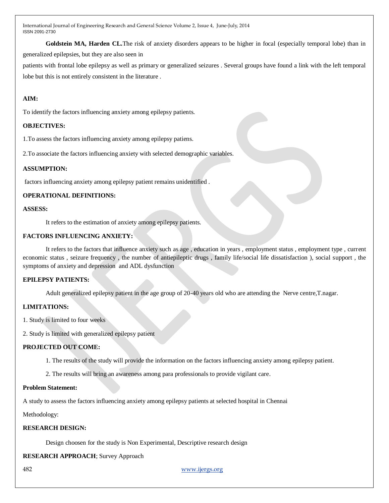**Goldstein MA, Harden CL.**The risk of anxiety disorders appears to be higher in focal (especially temporal lobe) than in

generalized epilepsies, but they are also seen in

patients with frontal lobe epilepsy as well as primary or generalized seizures . Several groups have found a link with the left temporal lobe but this is not entirely consistent in the literature .

## **AIM:**

To identify the factors influencing anxiety among epilepsy patients.

## **OBJECTIVES:**

1.To assess the factors influencing anxiety among epilepsy patiens.

2.To associate the factors influencing anxiety with selected demographic variables.

## **ASSUMPTION:**

factors influencing anxiety among epilepsy patient remains unidentified .

## **OPERATIONAL DEFINITIONS:**

## **ASSESS:**

It refers to the estimation of anxiety among epilepsy patients.

## **FACTORS INFLUENCING ANXIETY:**

It refers to the factors that influence anxiety such as age , education in years , employment status , employment type , current economic status , seizure frequency , the number of antiepileptic drugs , family life/social life dissatisfaction ), social support , the symptoms of anxiety and depression and ADL dysfunction

## **EPILEPSY PATIENTS:**

Adult generalized epilepsy patient in the age group of 20-40 years old who are attending the Nerve centre,T.nagar.

## **LIMITATIONS:**

1. Study is limited to four weeks

2. Study is limited with generalized epilepsy patient

## **PROJECTED OUT COME:**

- 1. The results of the study will provide the information on the factors influencing anxiety among epilepsy patient.
- 2. The results will bring an awareness among para professionals to provide vigilant care.

## **Problem Statement:**

A study to assess the factors influencing anxiety among epilepsy patients at selected hospital in Chennai

Methodology:

## **RESEARCH DESIGN:**

Design choosen for the study is Non Experimental, Descriptive research design

**RESEARCH APPROACH**; Survey Approach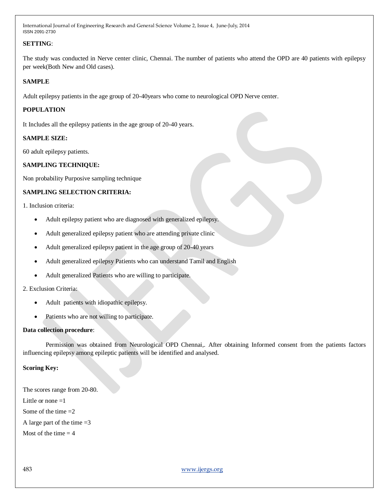## **SETTING**:

The study was conducted in Nerve center clinic, Chennai. The number of patients who attend the OPD are 40 patients with epilepsy per week(Both New and Old cases).

## **SAMPLE**

Adult epilepsy patients in the age group of 20-40years who come to neurological OPD Nerve center.

## **POPULATION**

It Includes all the epilepsy patients in the age group of 20-40 years.

## **SAMPLE SIZE:**

60 adult epilepsy patients.

## **SAMPLING TECHNIQUE:**

Non probability Purposive sampling technique

## **SAMPLING SELECTION CRITERIA:**

1. Inclusion criteria:

- Adult epilepsy patient who are diagnosed with generalized epilepsy.
- Adult generalized epilepsy patient who are attending private clinic
- Adult generalized epilepsy patient in the age group of 20-40 years
- Adult generalized epilepsy Patients who can understand Tamil and English
- Adult generalized Patients who are willing to participate.

## 2. Exclusion Criteria:

- Adult patients with idiopathic epilepsy.
- Patients who are not willing to participate.

## **Data collection procedure**:

Permission was obtained from Neurological OPD Chennai,. After obtaining Informed consent from the patients factors influencing epilepsy among epileptic patients will be identified and analysed.

## **Scoring Key:**

The scores range from 20-80. Little or none  $=1$ Some of the time  $=2$ A large part of the time  $=3$ Most of the time  $= 4$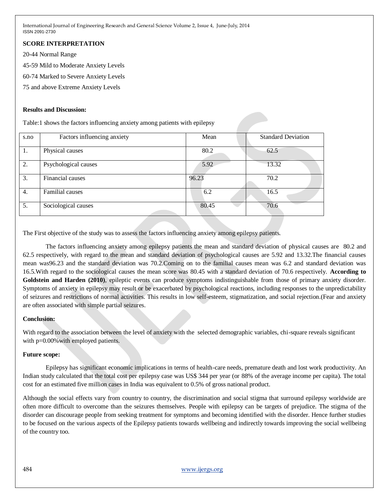## **SCORE INTERPRETATION**

20-44 Normal Range

45-59 Mild to Moderate Anxiety Levels

60-74 Marked to Severe Anxiety Levels

75 and above Extreme Anxiety Levels

#### **Results and Discussion:**

Table:1 shows the factors influencing anxiety among patients with epilepsy

| s.no | Factors influencing anxiety | Mean  | <b>Standard Deviation</b> |
|------|-----------------------------|-------|---------------------------|
| 1.   | Physical causes             | 80.2  | 62.5                      |
| 2.   | Psychological causes        | 5.92  | 13.32                     |
| 3.   | Financial causes            | 96.23 | 70.2                      |
| 4.   | Familial causes             | 6.2   | 16.5                      |
| 5.   | Sociological causes         | 80.45 | 70.6                      |

The First objective of the study was to assess the factors influencing anxiety among epilepsy patients.

The factors influencing anxiety among epilepsy patients the mean and standard deviation of physical causes are 80.2 and 62.5 respectively, with regard to the mean and standard deviation of psychological causes are 5.92 and 13.32.The financial causes mean was96.23 and the standard deviation was 70.2.Coming on to the familial causes mean was 6.2 and standard deviation was 16.5.With regard to the sociological causes the mean score was 80.45 with a standard deviation of 70.6 respectively. **According to Goldstein and Harden (2010)**, epileptic events can produce symptoms indistinguishable from those of primary anxiety disorder. Symptoms of anxiety in epilepsy may result or be exacerbated by psychological reactions, including responses to the unpredictability of seizures and restrictions of normal activities. This results in low self-esteem, stigmatization, and social rejection.(Fear and anxiety are often associated with simple partial seizures.

## **Conclusion:**

With regard to the association between the level of anxiety with the selected demographic variables, chi-square reveals significant with p=0.00% with employed patients.

## **Future scope:**

Epilepsy has significant economic implications in terms of health-care needs, premature death and lost work productivity. An Indian study calculated that the total cost per epilepsy case was US\$ 344 per year (or 88% of the average income per capita). The total cost for an estimated five million cases in India was equivalent to 0.5% of gross national product.

Although the social effects vary from country to country, the discrimination and social stigma that surround epilepsy worldwide are often more difficult to overcome than the seizures themselves. People with epilepsy can be targets of prejudice. The stigma of the disorder can discourage people from seeking treatment for symptoms and becoming identified with the disorder. Hence further studies to be focused on the various aspects of the Epilepsy patients towards wellbeing and indirectly towards improving the social wellbeing of the country too.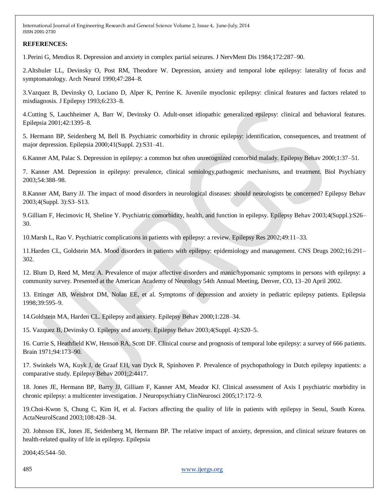## **REFERENCES:**

1.Perini G, Mendius R. Depression and anxiety in complex partial seizures. J NervMent Dis 1984;172:287–90.

2.Altshuler LL, Devinsky O, Post RM, Theodore W. Depression, anxiety and temporal lobe epilepsy: laterality of focus and symptomatology. Arch Neurol 1990;47:284–8.

3.Vazquez B, Devinsky O, Luciano D, Alper K, Perrine K. Juvenile myoclonic epilepsy: clinical features and factors related to misdiagnosis. J Epilepsy 1993;6:233–8.

4.Cutting S, Lauchheimer A, Barr W, Devinsky O. Adult-onset idiopathic generalized epilepsy: clinical and behavioral features. Epilepsia 2001;42:1395–8.

5. Hermann BP, Seidenberg M, Bell B. Psychiatric comorbidity in chronic epilepsy: identification, consequences, and treatment of major depression. Epilepsia 2000;41(Suppl. 2):S31–41.

6.Kanner AM, Palac S. Depression in epilepsy: a common but often unrecognized comorbid malady. Epilepsy Behav 2000;1:37–51.

7. Kanner AM. Depression in epilepsy: prevalence, clinical semiology,pathogenic mechanisms, and treatment. Biol Psychiatry 2003;54:388–98.

8.Kanner AM, Barry JJ. The impact of mood disorders in neurological diseases: should neurologists be concerned? Epilepsy Behav 2003;4(Suppl. 3):S3–S13.

9.Gilliam F, Hecimovic H, Sheline Y. Psychiatric comorbidity, health, and function in epilepsy. Epilepsy Behav 2003;4(Suppl.):S26– 30.

10.Marsh L, Rao V. Psychiatric complications in patients with epilepsy: a review. Epilepsy Res 2002;49:11–33.

11.Harden CL, Goldstein MA. Mood disorders in patients with epilepsy: epidemiology and management. CNS Drugs 2002;16:291– 302.

12. Blum D, Reed M, Metz A. Prevalence of major affective disorders and manic/hypomanic symptoms in persons with epilepsy: a community survey. Presented at the American Academy of Neurology 54th Annual Meeting, Denver, CO, 13–20 April 2002.

13. Ettinger AB, Weisbrot DM, Nolan EE, et al. Symptoms of depression and anxiety in pediatric epilepsy patients. Epilepsia 1998;39:595–9.

14.Goldstein MA, Harden CL. Epilepsy and anxiety. Epilepsy Behav 2000;1:228–34.

15. Vazquez B, Devinsky O. Epilepsy and anxiety. Epilepsy Behav 2003;4(Suppl. 4):S20–5.

16. Currie S, Heathfield KW, Henson RA, Scott DF. Clinical course and prognosis of temporal lobe epilepsy: a survey of 666 patients. Brain 1971;94:173–90.

17. Swinkels WA, Kuyk J, de Graaf EH, van Dyck R, Spinhoven P. Prevalence of psychopathology in Dutch epilepsy inpatients: a comparative study. Epilepsy Behav 2001;2:4417.

18. Jones JE, Hermann BP, Barry JJ, Gilliam F, Kanner AM, Meador KJ. Clinical assessment of Axis I psychiatric morbidity in chronic epilepsy: a multicenter investigation. J Neuropsychiatry ClinNeurosci 2005;17:172–9.

19.Choi-Kwon S, Chung C, Kim H, et al. Factors affecting the quality of life in patients with epilepsy in Seoul, South Korea. ActaNeurolScand 2003;108:428–34.

20. Johnson EK, Jones JE, Seidenberg M, Hermann BP. The relative impact of anxiety, depression, and clinical seizure features on health-related quality of life in epilepsy. Epilepsia

2004;45:544–50.